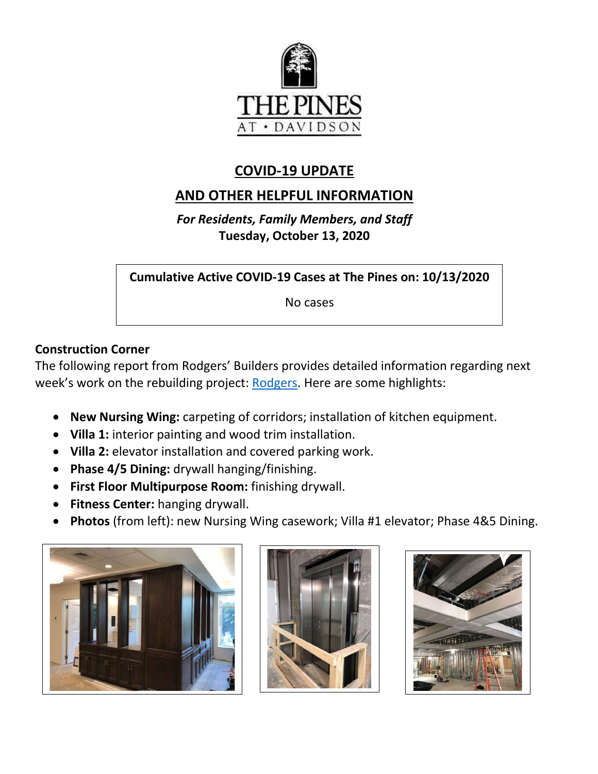

## **COVID-19 UPDATE**

# **AND OTHER HELPFUL INFORMATION**

*For Residents, Family Members, and Staff* **Tuesday, October 13, 2020**

**Cumulative Active COVID-19 Cases at The Pines on: 10/13/2020**

No cases

### **Construction Corner**

The following report from Rodgers' Builders provides detailed information regarding next week's work on the rebuilding project: [Rodgers.](https://www.mycommunity-center.com/filephotos/463/2020-10-09%20Weekly%20Update.pdf) Here are some highlights:

- **New Nursing Wing:** carpeting of corridors; installation of kitchen equipment.
- **Villa 1:** interior painting and wood trim installation.
- **Villa 2:** elevator installation and covered parking work.
- **Phase 4/5 Dining:** drywall hanging/finishing.
- **First Floor Multipurpose Room:** finishing drywall.
- **Fitness Center:** hanging drywall.
- **Photos** (from left): new Nursing Wing casework; Villa #1 elevator; Phase 4&5 Dining.





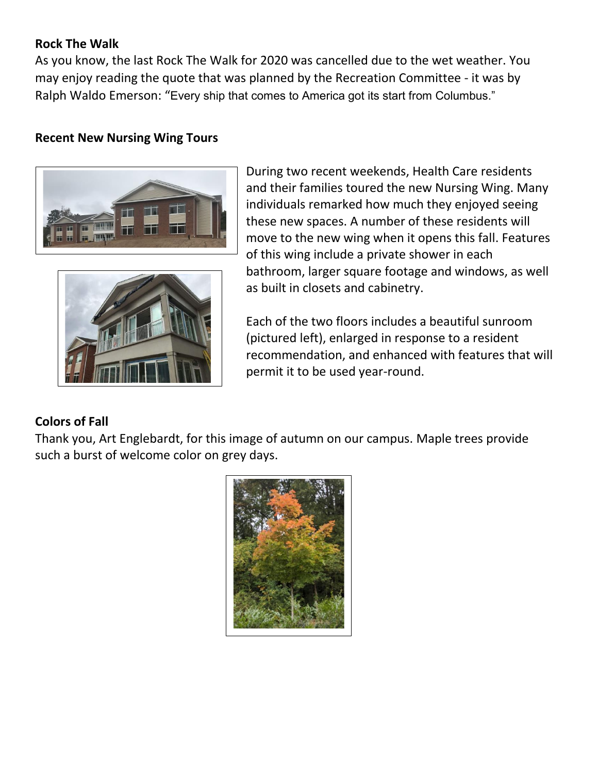#### **Rock The Walk**

As you know, the last Rock The Walk for 2020 was cancelled due to the wet weather. You may enjoy reading the quote that was planned by the Recreation Committee - it was by Ralph Waldo Emerson: "Every ship that comes to America got its start from Columbus."

#### **Recent New Nursing Wing Tours**





During two recent weekends, Health Care residents and their families toured the new Nursing Wing. Many individuals remarked how much they enjoyed seeing these new spaces. A number of these residents will move to the new wing when it opens this fall. Features of this wing include a private shower in each bathroom, larger square footage and windows, as well as built in closets and cabinetry.

Each of the two floors includes a beautiful sunroom (pictured left), enlarged in response to a resident recommendation, and enhanced with features that will permit it to be used year-round.

### **Colors of Fall**

Thank you, Art Englebardt, for this image of autumn on our campus. Maple trees provide such a burst of welcome color on grey days.